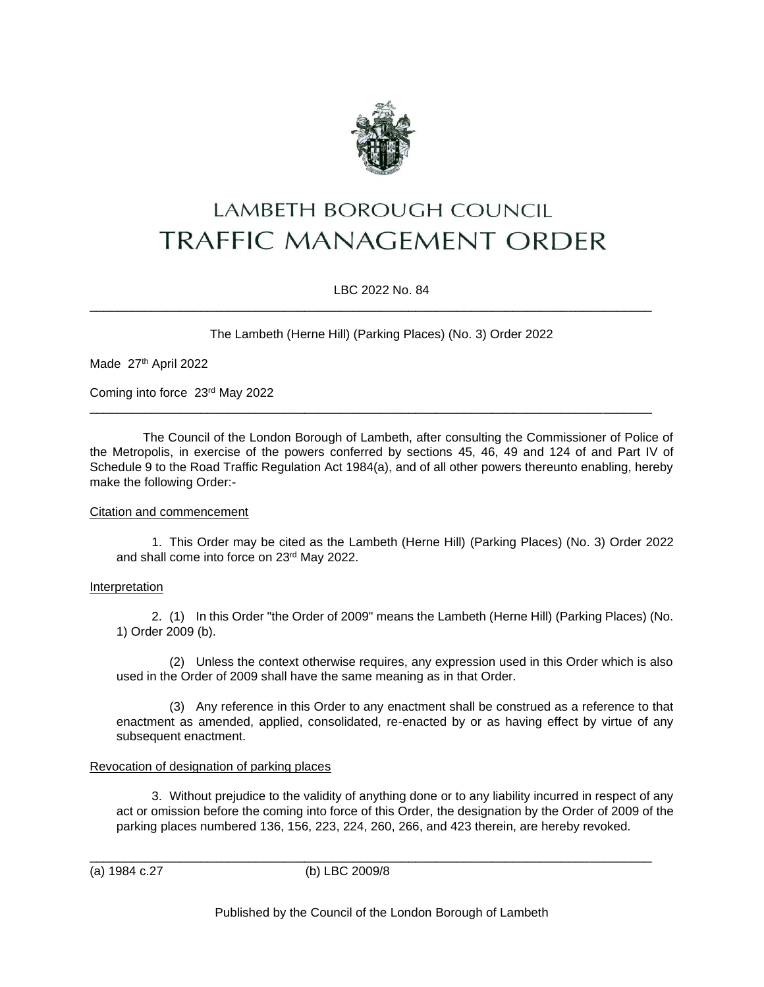

# LAMBETH BOROUGH COUNCIL **TRAFFIC MANAGEMENT ORDER**

LBC 2022 No. 84

\_\_\_\_\_\_\_\_\_\_\_\_\_\_\_\_\_\_\_\_\_\_\_\_\_\_\_\_\_\_\_\_\_\_\_\_\_\_\_\_\_\_\_\_\_\_\_\_\_\_\_\_\_\_\_\_\_\_\_\_\_\_\_\_\_\_\_\_\_\_\_\_\_\_\_\_\_\_\_\_\_

\_\_\_\_\_\_\_\_\_\_\_\_\_\_\_\_\_\_\_\_\_\_\_\_\_\_\_\_\_\_\_\_\_\_\_\_\_\_\_\_\_\_\_\_\_\_\_\_\_\_\_\_\_\_\_\_\_\_\_\_\_\_\_\_\_\_\_\_\_\_\_\_\_\_\_\_\_\_\_\_\_

The Lambeth (Herne Hill) (Parking Places) (No. 3) Order 2022

Made 27th April 2022

Coming into force 23rd May 2022

The Council of the London Borough of Lambeth, after consulting the Commissioner of Police of the Metropolis, in exercise of the powers conferred by sections 45, 46, 49 and 124 of and Part IV of Schedule 9 to the Road Traffic Regulation Act 1984(a), and of all other powers thereunto enabling, hereby make the following Order:-

## Citation and commencement

1. This Order may be cited as the Lambeth (Herne Hill) (Parking Places) (No. 3) Order 2022 and shall come into force on 23rd May 2022.

## Interpretation

2. (1) In this Order "the Order of 2009" means the Lambeth (Herne Hill) (Parking Places) (No. 1) Order 2009 (b).

(2) Unless the context otherwise requires, any expression used in this Order which is also used in the Order of 2009 shall have the same meaning as in that Order.

(3) Any reference in this Order to any enactment shall be construed as a reference to that enactment as amended, applied, consolidated, re-enacted by or as having effect by virtue of any subsequent enactment.

## Revocation of designation of parking places

3. Without prejudice to the validity of anything done or to any liability incurred in respect of any act or omission before the coming into force of this Order, the designation by the Order of 2009 of the parking places numbered 136, 156, 223, 224, 260, 266, and 423 therein, are hereby revoked.

(a) 1984 c.27 (b) LBC 2009/8

\_\_\_\_\_\_\_\_\_\_\_\_\_\_\_\_\_\_\_\_\_\_\_\_\_\_\_\_\_\_\_\_\_\_\_\_\_\_\_\_\_\_\_\_\_\_\_\_\_\_\_\_\_\_\_\_\_\_\_\_\_\_\_\_\_\_\_\_\_\_\_\_\_\_\_\_\_\_\_\_\_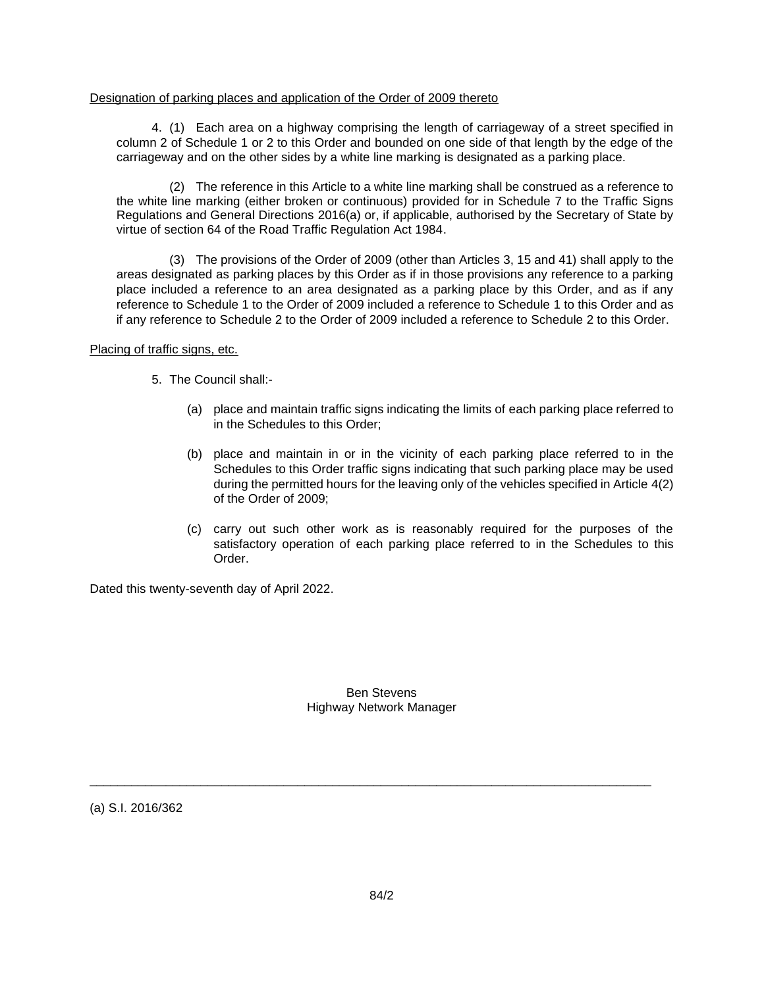#### Designation of parking places and application of the Order of 2009 thereto

4. (1) Each area on a highway comprising the length of carriageway of a street specified in column 2 of Schedule 1 or 2 to this Order and bounded on one side of that length by the edge of the carriageway and on the other sides by a white line marking is designated as a parking place.

(2) The reference in this Article to a white line marking shall be construed as a reference to the white line marking (either broken or continuous) provided for in Schedule 7 to the Traffic Signs Regulations and General Directions 2016(a) or, if applicable, authorised by the Secretary of State by virtue of section 64 of the Road Traffic Regulation Act 1984.

(3) The provisions of the Order of 2009 (other than Articles 3, 15 and 41) shall apply to the areas designated as parking places by this Order as if in those provisions any reference to a parking place included a reference to an area designated as a parking place by this Order, and as if any reference to Schedule 1 to the Order of 2009 included a reference to Schedule 1 to this Order and as if any reference to Schedule 2 to the Order of 2009 included a reference to Schedule 2 to this Order.

#### Placing of traffic signs, etc.

- 5. The Council shall:-
	- (a) place and maintain traffic signs indicating the limits of each parking place referred to in the Schedules to this Order;
	- (b) place and maintain in or in the vicinity of each parking place referred to in the Schedules to this Order traffic signs indicating that such parking place may be used during the permitted hours for the leaving only of the vehicles specified in Article 4(2) of the Order of 2009;
	- (c) carry out such other work as is reasonably required for the purposes of the satisfactory operation of each parking place referred to in the Schedules to this Order.

Dated this twenty-seventh day of April 2022.

Ben Stevens Highway Network Manager

\_\_\_\_\_\_\_\_\_\_\_\_\_\_\_\_\_\_\_\_\_\_\_\_\_\_\_\_\_\_\_\_\_\_\_\_\_\_\_\_\_\_\_\_\_\_\_\_\_\_\_\_\_\_\_\_\_\_\_\_\_\_\_\_\_\_\_\_\_\_\_\_\_\_\_\_\_\_\_\_\_

(a) S.I. 2016/362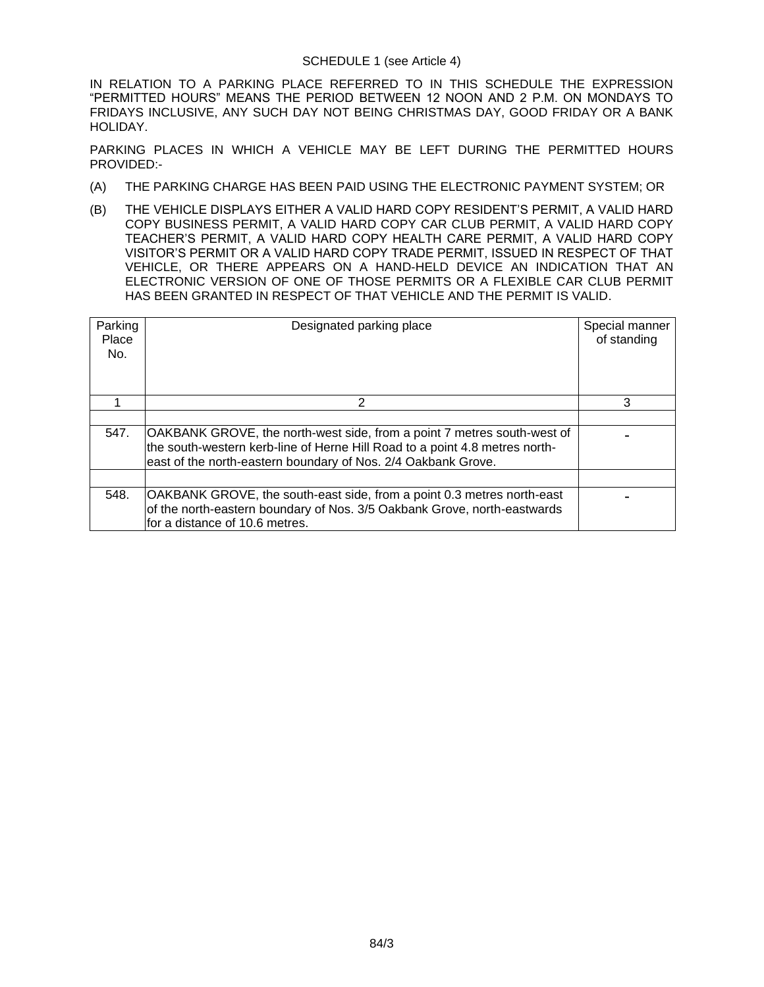IN RELATION TO A PARKING PLACE REFERRED TO IN THIS SCHEDULE THE EXPRESSION "PERMITTED HOURS" MEANS THE PERIOD BETWEEN 12 NOON AND 2 P.M. ON MONDAYS TO FRIDAYS INCLUSIVE, ANY SUCH DAY NOT BEING CHRISTMAS DAY, GOOD FRIDAY OR A BANK HOLIDAY.

PARKING PLACES IN WHICH A VEHICLE MAY BE LEFT DURING THE PERMITTED HOURS PROVIDED:-

- (A) THE PARKING CHARGE HAS BEEN PAID USING THE ELECTRONIC PAYMENT SYSTEM; OR
- (B) THE VEHICLE DISPLAYS EITHER A VALID HARD COPY RESIDENT'S PERMIT, A VALID HARD COPY BUSINESS PERMIT, A VALID HARD COPY CAR CLUB PERMIT, A VALID HARD COPY TEACHER'S PERMIT, A VALID HARD COPY HEALTH CARE PERMIT, A VALID HARD COPY VISITOR'S PERMIT OR A VALID HARD COPY TRADE PERMIT, ISSUED IN RESPECT OF THAT VEHICLE, OR THERE APPEARS ON A HAND-HELD DEVICE AN INDICATION THAT AN ELECTRONIC VERSION OF ONE OF THOSE PERMITS OR A FLEXIBLE CAR CLUB PERMIT HAS BEEN GRANTED IN RESPECT OF THAT VEHICLE AND THE PERMIT IS VALID.

| Parking<br>Place<br>No. | Designated parking place                                                                                                                                                                                                       | Special manner<br>of standing |
|-------------------------|--------------------------------------------------------------------------------------------------------------------------------------------------------------------------------------------------------------------------------|-------------------------------|
|                         | 2                                                                                                                                                                                                                              | 3                             |
|                         |                                                                                                                                                                                                                                |                               |
| 547.                    | <b>OAKBANK GROVE, the north-west side, from a point 7 metres south-west of</b><br>the south-western kerb-line of Herne Hill Road to a point 4.8 metres north-<br>east of the north-eastern boundary of Nos. 2/4 Oakbank Grove. |                               |
|                         |                                                                                                                                                                                                                                |                               |
| 548.                    | OAKBANK GROVE, the south-east side, from a point 0.3 metres north-east<br>of the north-eastern boundary of Nos. 3/5 Oakbank Grove, north-eastwards<br>for a distance of 10.6 metres.                                           |                               |